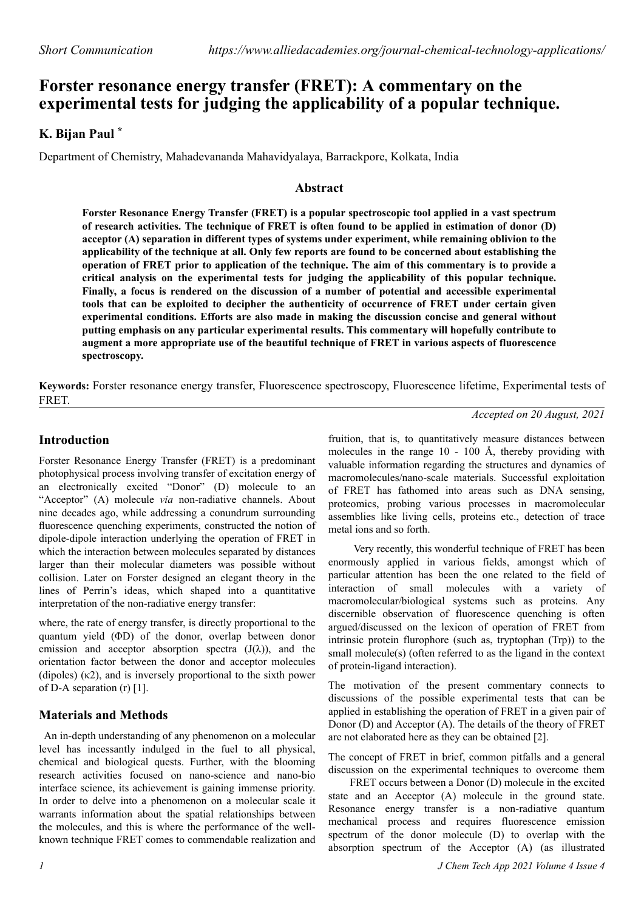# **Forster resonance energy transfer (FRET): A commentary on the experimental tests for judging the applicability of a popular technique.**

## **K. Bijan Paul \***

Department of Chemistry, Mahadevananda Mahavidyalaya, Barrackpore, Kolkata, India

## **Abstract**

**Forster Resonance Energy Transfer (FRET) is a popular spectroscopic tool applied in a vast spectrum of research activities. The technique of FRET is often found to be applied in estimation of donor (D) acceptor (A) separation in different types of systems under experiment, while remaining oblivion to the applicability of the technique at all. Only few reports are found to be concerned about establishing the operation of FRET prior to application of the technique. The aim of this commentary is to provide a critical analysis on the experimental tests for judging the applicability of this popular technique. Finally, a focus is rendered on the discussion of a number of potential and accessible experimental tools that can be exploited to decipher the authenticity of occurrence of FRET under certain given experimental conditions. Efforts are also made in making the discussion concise and general without putting emphasis on any particular experimental results. This commentary will hopefully contribute to augment a more appropriate use of the beautiful technique of FRET in various aspects of fluorescence spectroscopy.**

**Keywords:** Forster resonance energy transfer, Fluorescence spectroscopy, Fluorescence lifetime, Experimental tests of FRET.

*Accepted on 20 August, 2021*

## **Introduction**

Forster Resonance Energy Transfer (FRET) is a predominant photophysical process involving transfer of excitation energy of an electronically excited "Donor" (D) molecule to an "Acceptor" (A) molecule *via* non-radiative channels. About nine decades ago, while addressing a conundrum surrounding fluorescence quenching experiments, constructed the notion of dipole-dipole interaction underlying the operation of FRET in which the interaction between molecules separated by distances larger than their molecular diameters was possible without collision. Later on Forster designed an elegant theory in the lines of Perrin's ideas, which shaped into a quantitative interpretation of the non-radiative energy transfer:

where, the rate of energy transfer, is directly proportional to the quantum yield (ΦD) of the donor, overlap between donor emission and acceptor absorption spectra  $(J(\lambda))$ , and the orientation factor between the donor and acceptor molecules (dipoles) (κ2), and is inversely proportional to the sixth power of D-A separation (r) [1].

## **Materials and Methods**

An in-depth understanding of any phenomenon on a molecular level has incessantly indulged in the fuel to all physical, chemical and biological quests. Further, with the blooming research activities focused on nano-science and nano-bio interface science, its achievement is gaining immense priority. In order to delve into a phenomenon on a molecular scale it warrants information about the spatial relationships between the molecules, and this is where the performance of the wellknown technique FRET comes to commendable realization and

fruition, that is, to quantitatively measure distances between molecules in the range 10 - 100 Å, thereby providing with valuable information regarding the structures and dynamics of macromolecules/nano-scale materials. Successful exploitation of FRET has fathomed into areas such as DNA sensing, proteomics, probing various processes in macromolecular assemblies like living cells, proteins etc., detection of trace metal ions and so forth.

Very recently, this wonderful technique of FRET has been enormously applied in various fields, amongst which of particular attention has been the one related to the field of interaction of small molecules with a variety of macromolecular/biological systems such as proteins. Any discernible observation of fluorescence quenching is often argued/discussed on the lexicon of operation of FRET from intrinsic protein flurophore (such as, tryptophan (Trp)) to the small molecule(s) (often referred to as the ligand in the context of protein-ligand interaction).

The motivation of the present commentary connects to discussions of the possible experimental tests that can be applied in establishing the operation of FRET in a given pair of Donor (D) and Acceptor (A). The details of the theory of FRET are not elaborated here as they can be obtained [2].

The concept of FRET in brief, common pitfalls and a general discussion on the experimental techniques to overcome them

FRET occurs between a Donor (D) molecule in the excited state and an Acceptor (A) molecule in the ground state. Resonance energy transfer is a non-radiative quantum mechanical process and requires fluorescence emission spectrum of the donor molecule (D) to overlap with the absorption spectrum of the Acceptor (A) (as illustrated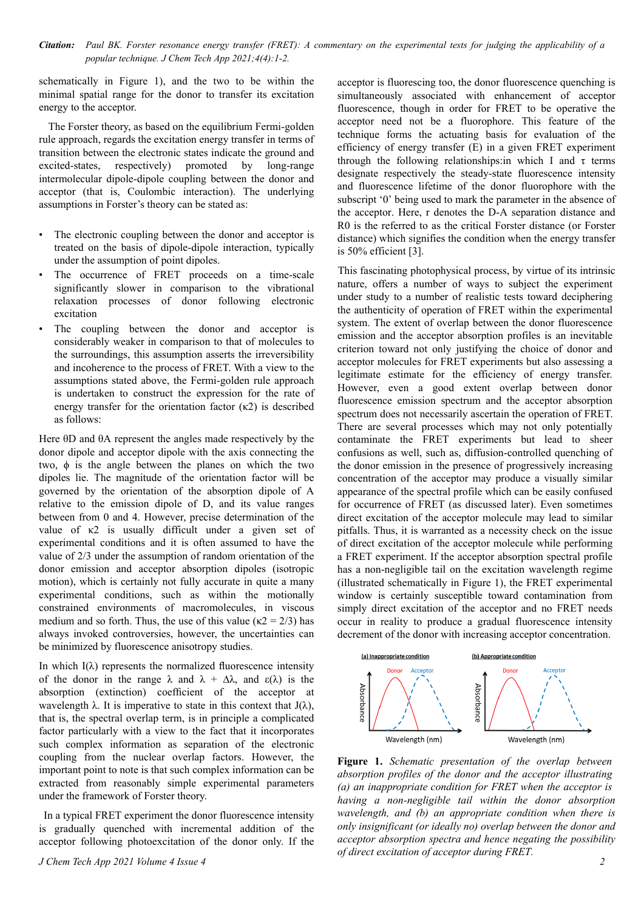*Citation: Paul BK. Forster resonance energy transfer (FRET): A commentary on the experimental tests for judging the applicability of a popular technique. J Chem Tech App 2021;4(4):1-2.*

schematically in Figure 1), and the two to be within the minimal spatial range for the donor to transfer its excitation energy to the acceptor.

The Forster theory, as based on the equilibrium Fermi-golden rule approach, regards the excitation energy transfer in terms of transition between the electronic states indicate the ground and excited-states, respectively) promoted by long-range intermolecular dipole-dipole coupling between the donor and acceptor (that is, Coulombic interaction). The underlying assumptions in Forster's theory can be stated as:

- The electronic coupling between the donor and acceptor is treated on the basis of dipole-dipole interaction, typically under the assumption of point dipoles.
- The occurrence of FRET proceeds on a time-scale significantly slower in comparison to the vibrational relaxation processes of donor following electronic excitation
- The coupling between the donor and acceptor is considerably weaker in comparison to that of molecules to the surroundings, this assumption asserts the irreversibility and incoherence to the process of FRET. With a view to the assumptions stated above, the Fermi-golden rule approach is undertaken to construct the expression for the rate of energy transfer for the orientation factor  $(\kappa 2)$  is described as follows:

Here θD and θA represent the angles made respectively by the donor dipole and acceptor dipole with the axis connecting the two, ϕ is the angle between the planes on which the two dipoles lie. The magnitude of the orientation factor will be governed by the orientation of the absorption dipole of A relative to the emission dipole of D, and its value ranges between from 0 and 4. However, precise determination of the value of κ2 is usually difficult under a given set of experimental conditions and it is often assumed to have the value of 2/3 under the assumption of random orientation of the donor emission and acceptor absorption dipoles (isotropic motion), which is certainly not fully accurate in quite a many experimental conditions, such as within the motionally constrained environments of macromolecules, in viscous medium and so forth. Thus, the use of this value ( $\kappa$ 2 = 2/3) has always invoked controversies, however, the uncertainties can be minimized by fluorescence anisotropy studies.

In which  $I(\lambda)$  represents the normalized fluorescence intensity of the donor in the range  $\lambda$  and  $\lambda + \Delta\lambda$ , and  $\varepsilon(\lambda)$  is the absorption (extinction) coefficient of the acceptor at wavelength  $\lambda$ . It is imperative to state in this context that  $J(\lambda)$ , that is, the spectral overlap term, is in principle a complicated factor particularly with a view to the fact that it incorporates such complex information as separation of the electronic coupling from the nuclear overlap factors. However, the important point to note is that such complex information can be extracted from reasonably simple experimental parameters under the framework of Forster theory.

In a typical FRET experiment the donor fluorescence intensity is gradually quenched with incremental addition of the acceptor following photoexcitation of the donor only. If the acceptor is fluorescing too, the donor fluorescence quenching is simultaneously associated with enhancement of acceptor fluorescence, though in order for FRET to be operative the acceptor need not be a fluorophore. This feature of the technique forms the actuating basis for evaluation of the efficiency of energy transfer (E) in a given FRET experiment through the following relationships: in which I and  $\tau$  terms designate respectively the steady-state fluorescence intensity and fluorescence lifetime of the donor fluorophore with the subscript '0' being used to mark the parameter in the absence of the acceptor. Here, r denotes the D-A separation distance and R0 is the referred to as the critical Forster distance (or Forster distance) which signifies the condition when the energy transfer is 50% efficient [3].

This fascinating photophysical process, by virtue of its intrinsic nature, offers a number of ways to subject the experiment under study to a number of realistic tests toward deciphering the authenticity of operation of FRET within the experimental system. The extent of overlap between the donor fluorescence emission and the acceptor absorption profiles is an inevitable criterion toward not only justifying the choice of donor and acceptor molecules for FRET experiments but also assessing a legitimate estimate for the efficiency of energy transfer. However, even a good extent overlap between donor fluorescence emission spectrum and the acceptor absorption spectrum does not necessarily ascertain the operation of FRET. There are several processes which may not only potentially contaminate the FRET experiments but lead to sheer confusions as well, such as, diffusion-controlled quenching of the donor emission in the presence of progressively increasing concentration of the acceptor may produce a visually similar appearance of the spectral profile which can be easily confused for occurrence of FRET (as discussed later). Even sometimes direct excitation of the acceptor molecule may lead to similar pitfalls. Thus, it is warranted as a necessity check on the issue of direct excitation of the acceptor molecule while performing a FRET experiment. If the acceptor absorption spectral profile has a non-negligible tail on the excitation wavelength regime (illustrated schematically in Figure 1), the FRET experimental window is certainly susceptible toward contamination from simply direct excitation of the acceptor and no FRET needs occur in reality to produce a gradual fluorescence intensity decrement of the donor with increasing acceptor concentration.



**Figure 1.** *Schematic presentation of the overlap between absorption profiles of the donor and the acceptor illustrating (a) an inappropriate condition for FRET when the acceptor is having a non-negligible tail within the donor absorption wavelength, and (b) an appropriate condition when there is only insignificant (or ideally no) overlap between the donor and acceptor absorption spectra and hence negating the possibility of direct excitation of acceptor during FRET.*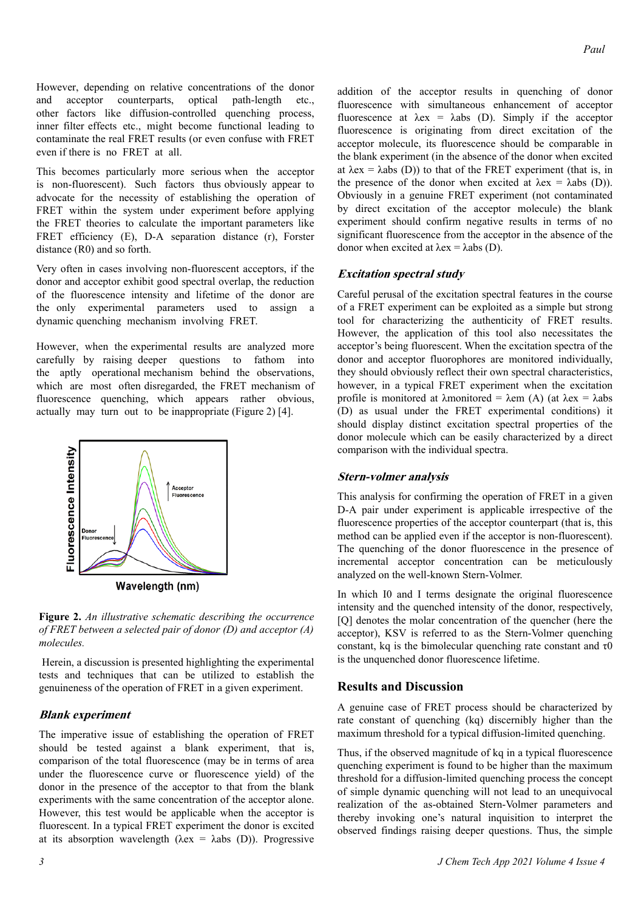However, depending on relative concentrations of the donor and acceptor counterparts, optical path-length etc., other factors like diffusion-controlled quenching process, inner filter effects etc., might become functional leading to contaminate the real FRET results (or even confuse with FRET even if there is no FRET at all.

This becomes particularly more serious when the acceptor is non-fluorescent). Such factors thus obviously appear to advocate for the necessity of establishing the operation of FRET within the system under experiment before applying the FRET theories to calculate the important parameters like FRET efficiency (E), D-A separation distance (r), Forster distance (R0) and so forth.

Very often in cases involving non-fluorescent acceptors, if the donor and acceptor exhibit good spectral overlap, the reduction of the fluorescence intensity and lifetime of the donor are the only experimental parameters used to assign a dynamic quenching mechanism involving FRET.

However, when the experimental results are analyzed more carefully by raising deeper questions to fathom into the aptly operational mechanism behind the observations, which are most often disregarded, the FRET mechanism of fluorescence quenching, which appears rather obvious, actually may turn out to be inappropriate (Figure 2) [4].



Wavelength (nm)

**Figure 2.** *An illustrative schematic describing the occurrence of FRET between a selected pair of donor (D) and acceptor (A) molecules.*

Herein, a discussion is presented highlighting the experimental tests and techniques that can be utilized to establish the genuineness of the operation of FRET in a given experiment.

## **Blank experiment**

The imperative issue of establishing the operation of FRET should be tested against a blank experiment, that is, comparison of the total fluorescence (may be in terms of area under the fluorescence curve or fluorescence yield) of the donor in the presence of the acceptor to that from the blank experiments with the same concentration of the acceptor alone. However, this test would be applicable when the acceptor is fluorescent. In a typical FRET experiment the donor is excited at its absorption wavelength ( $\lambda$ ex =  $\lambda$ abs (D)). Progressive addition of the acceptor results in quenching of donor fluorescence with simultaneous enhancement of acceptor fluorescence at  $\lambda$ ex =  $\lambda$ abs (D). Simply if the acceptor fluorescence is originating from direct excitation of the acceptor molecule, its fluorescence should be comparable in the blank experiment (in the absence of the donor when excited at  $\lambda$ ex =  $\lambda$ abs (D)) to that of the FRET experiment (that is, in the presence of the donor when excited at  $\lambda$ ex =  $\lambda$ abs (D)). Obviously in a genuine FRET experiment (not contaminated by direct excitation of the acceptor molecule) the blank experiment should confirm negative results in terms of no significant fluorescence from the acceptor in the absence of the donor when excited at  $λ$ ex =  $λ$ abs (D).

#### **Excitation spectral study**

Careful perusal of the excitation spectral features in the course of a FRET experiment can be exploited as a simple but strong tool for characterizing the authenticity of FRET results. However, the application of this tool also necessitates the acceptor's being fluorescent. When the excitation spectra of the donor and acceptor fluorophores are monitored individually, they should obviously reflect their own spectral characteristics, however, in a typical FRET experiment when the excitation profile is monitored at  $\lambda$ monitored =  $\lambda$ em (A) (at  $\lambda$ ex =  $\lambda$ abs (D) as usual under the FRET experimental conditions) it should display distinct excitation spectral properties of the donor molecule which can be easily characterized by a direct comparison with the individual spectra.

#### **Stern-volmer analysis**

This analysis for confirming the operation of FRET in a given D-A pair under experiment is applicable irrespective of the fluorescence properties of the acceptor counterpart (that is, this method can be applied even if the acceptor is non-fluorescent). The quenching of the donor fluorescence in the presence of incremental acceptor concentration can be meticulously analyzed on the well-known Stern-Volmer.

In which I0 and I terms designate the original fluorescence intensity and the quenched intensity of the donor, respectively, [Q] denotes the molar concentration of the quencher (here the acceptor), KSV is referred to as the Stern-Volmer quenching constant, kq is the bimolecular quenching rate constant and  $\tau$ 0 is the unquenched donor fluorescence lifetime.

## **Results and Discussion**

A genuine case of FRET process should be characterized by rate constant of quenching (kq) discernibly higher than the maximum threshold for a typical diffusion-limited quenching.

Thus, if the observed magnitude of kq in a typical fluorescence quenching experiment is found to be higher than the maximum threshold for a diffusion-limited quenching process the concept of simple dynamic quenching will not lead to an unequivocal realization of the as-obtained Stern-Volmer parameters and thereby invoking one's natural inquisition to interpret the observed findings raising deeper questions. Thus, the simple